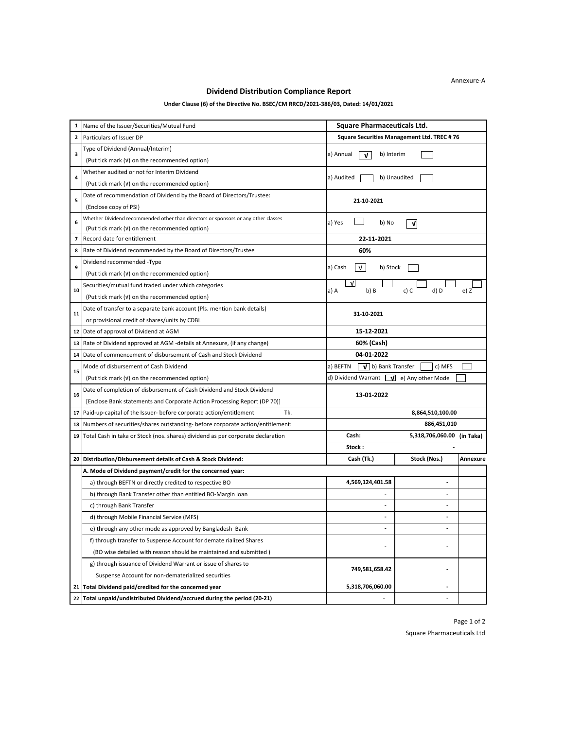## **Dividend Distribution Compliance Report**

## **Under Clause (6) of the Directive No. BSEC/CM RRCD/2021-386/03, Dated: 14/01/2021**

| 1            | Name of the Issuer/Securities/Mutual Fund                                          | <b>Square Pharmaceuticals Ltd.</b>                |                            |          |
|--------------|------------------------------------------------------------------------------------|---------------------------------------------------|----------------------------|----------|
| $\mathbf{2}$ | Particulars of Issuer DP                                                           | Square Securities Management Ltd. TREC #76        |                            |          |
|              | Type of Dividend (Annual/Interim)                                                  |                                                   |                            |          |
| 3            | (Put tick mark (v) on the recommended option)                                      | a) Annual<br>b) Interim<br>V                      |                            |          |
| 4            | Whether audited or not for Interim Dividend                                        |                                                   |                            |          |
|              | (Put tick mark (v) on the recommended option)                                      | a) Audited                                        | b) Unaudited               |          |
| 5            | Date of recommendation of Dividend by the Board of Directors/Trustee:              | 21-10-2021                                        |                            |          |
|              | (Enclose copy of PSI)                                                              |                                                   |                            |          |
| 6            | Whether Dividend recommended other than directors or sponsors or any other classes | a) Yes<br>b) No<br>V                              |                            |          |
|              | (Put tick mark (v) on the recommended option)                                      |                                                   |                            |          |
| 7            | Record date for entitlement                                                        | 22-11-2021                                        |                            |          |
| 8            | Rate of Dividend recommended by the Board of Directors/Trustee                     | 60%                                               |                            |          |
| 9            | Dividend recommended -Type                                                         | a) Cash<br>V<br>b) Stock                          |                            |          |
|              | (Put tick mark (v) on the recommended option)                                      |                                                   |                            |          |
| 10           | Securities/mutual fund traded under which categories                               | $\sqrt{ }$<br>a) A<br>b) B                        | c) C<br>d) D               | e) Z     |
|              | (Put tick mark (v) on the recommended option)                                      |                                                   |                            |          |
| 11           | Date of transfer to a separate bank account (Pls. mention bank details)            | 31-10-2021                                        |                            |          |
|              | or provisional credit of shares/units by CDBL                                      |                                                   |                            |          |
| 12           | Date of approval of Dividend at AGM                                                | 15-12-2021                                        |                            |          |
| 13           | Rate of Dividend approved at AGM -details at Annexure, (if any change)             | 60% (Cash)                                        |                            |          |
| 14           | Date of commencement of disbursement of Cash and Stock Dividend                    | 04-01-2022                                        |                            |          |
| 15           | Mode of disbursement of Cash Dividend                                              | a) BEFTN<br>$\sqrt{\phantom{a}}$ b) Bank Transfer | c) MFS                     |          |
|              | (Put tick mark (v) on the recommended option)                                      | d) Dividend Warrant $\sqrt{v}$ e) Any other Mode  |                            |          |
| 16           | Date of completion of disbursement of Cash Dividend and Stock Dividend             | 13-01-2022                                        |                            |          |
|              | [Enclose Bank statements and Corporate Action Processing Report (DP 70)]           |                                                   |                            |          |
| 17           | Tk.<br>Paid-up-capital of the Issuer- before corporate action/entitlement          | 8,864,510,100.00                                  |                            |          |
| 18           | Numbers of securities/shares outstanding- before corporate action/entitlement:     |                                                   | 886,451,010                |          |
| 19           | Total Cash in taka or Stock (nos. shares) dividend as per corporate declaration    | Cash:                                             | 5,318,706,060.00 (in Taka) |          |
|              |                                                                                    | Stock:                                            |                            |          |
| 20           | Distribution/Disbursement details of Cash & Stock Dividend:                        | Cash (Tk.)                                        | Stock (Nos.)               | Annexure |
|              | A. Mode of Dividend payment/credit for the concerned year:                         |                                                   |                            |          |
|              | a) through BEFTN or directly credited to respective BO                             | 4,569,124,401.58                                  | $\overline{\phantom{a}}$   |          |
|              | b) through Bank Transfer other than entitled BO-Margin loan                        | $\overline{\phantom{a}}$                          | $\overline{\phantom{a}}$   |          |
|              | c) through Bank Transfer                                                           | $\overline{a}$                                    | $\overline{a}$             |          |
|              | d) through Mobile Financial Service (MFS)                                          |                                                   |                            |          |
|              | e) through any other mode as approved by Bangladesh Bank                           |                                                   |                            |          |
|              | f) through transfer to Suspense Account for demate rialized Shares                 |                                                   |                            |          |
|              | (BO wise detailed with reason should be maintained and submitted)                  |                                                   |                            |          |
|              | g) through issuance of Dividend Warrant or issue of shares to                      | 749,581,658.42                                    |                            |          |
|              | Suspense Account for non-dematerialized securities                                 |                                                   |                            |          |
| 21           | Total Dividend paid/credited for the concerned year                                | 5,318,706,060.00                                  |                            |          |
| 22           | Total unpaid/undistributed Dividend/accrued during the period (20-21)              |                                                   |                            |          |